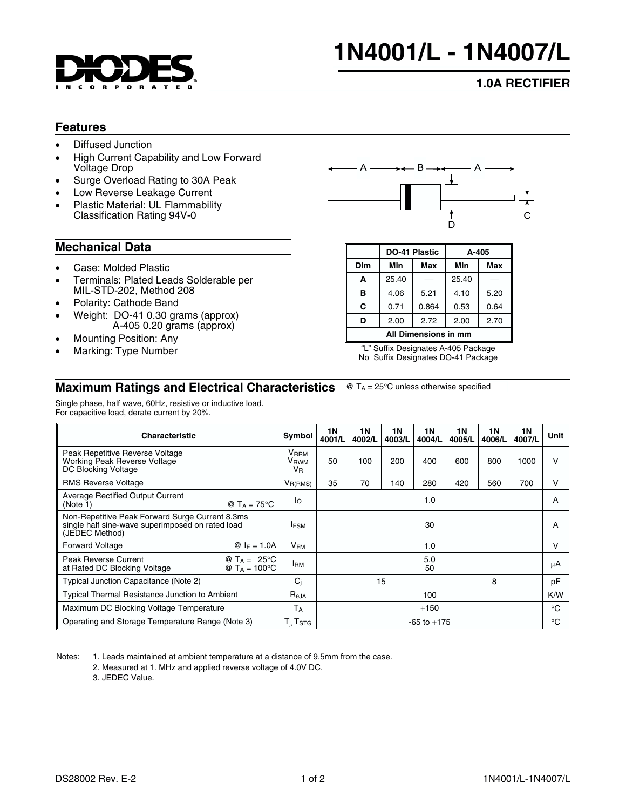

# **1N4001/L - 1N4007/L**

# **1.0A RECTIFIER**

### **Features**

- Diffused Junction
- High Current Capability and Low Forward Voltage Drop
- Surge Overload Rating to 30A Peak
- Low Reverse Leakage Current
- Plastic Material: UL Flammability Classification Rating 94V-0

## **Mechanical Data**

- Case: Molded Plastic
- Terminals: Plated Leads Solderable per MIL-STD-202, Method 208
- Polarity: Cathode Band
- Weight: DO-41 0.30 grams (approx) A-405 0.20 grams (approx)
- Mounting Position: Any
- Marking: Type Number



|                      |       | DO-41 Plastic | A-405 |      |  |  |  |  |  |
|----------------------|-------|---------------|-------|------|--|--|--|--|--|
| Dim                  | Min   | Max           | Min   | Max  |  |  |  |  |  |
| A                    | 25.40 |               | 25.40 |      |  |  |  |  |  |
| в                    | 4.06  | 5.21          | 4.10  | 5.20 |  |  |  |  |  |
| C                    | 0.71  | 0.864         | 0.53  | 0.64 |  |  |  |  |  |
| D                    | 2.00  | 2.72          | 2.00  | 2.70 |  |  |  |  |  |
| All Dimensions in mm |       |               |       |      |  |  |  |  |  |

"L" Suffix Designates A-405 Package No Suffix Designates DO-41 Package

#### **Maximum Ratings and Electrical Characteristics**  $\textcircled{ }$  T<sub>A</sub> = 25°C unless otherwise specified

Single phase, half wave, 60Hz, resistive or inductive load. For capacitive load, derate current by 20%.

| <b>Characteristic</b>                                                                                                 |  | 1 N<br>4001/L   | <b>1N</b><br>4002/L | <b>1N</b><br>4003/L | 1 N<br>4004/L | 1 N<br>4005/L | <b>1N</b><br>4006/L | 1N<br>4007/L | Unit |
|-----------------------------------------------------------------------------------------------------------------------|--|-----------------|---------------------|---------------------|---------------|---------------|---------------------|--------------|------|
| Peak Repetitive Reverse Voltage<br>Working Peak Reverse Voltage<br>DC Blocking Voltage                                |  | 50              | 100                 | 200                 | 400           | 600           | 800                 | 1000         | v    |
| <b>RMS Reverse Voltage</b>                                                                                            |  | 35              | 70                  | 140                 | 280           | 420           | 560                 | 700          | v    |
| <b>Average Rectified Output Current</b><br>@ $T_A = 75^{\circ}$ C<br>(Note 1)                                         |  | 1.0             |                     |                     |               |               |                     | A            |      |
| Non-Repetitive Peak Forward Surge Current 8.3ms<br>single half sine-wave superimposed on rated load<br>(JEDEC Method) |  | 30              |                     |                     |               |               |                     | A            |      |
| <b>Forward Voltage</b><br>$@ F = 1.0A$                                                                                |  | 1.0             |                     |                     |               |               |                     | $\vee$       |      |
| Peak Reverse Current<br>@ $T_A = 25^{\circ}C$<br>at Rated DC Blocking Voltage<br>@ $T_A = 100^{\circ}C$               |  | 5.0<br>50       |                     |                     |               |               |                     | μA           |      |
| Typical Junction Capacitance (Note 2)                                                                                 |  | 15<br>8         |                     |                     |               |               | pF                  |              |      |
| <b>Typical Thermal Resistance Junction to Ambient</b>                                                                 |  | 100             |                     |                     |               |               |                     | K/W          |      |
| Maximum DC Blocking Voltage Temperature                                                                               |  | $+150$          |                     |                     |               |               |                     | $^{\circ}$ C |      |
| Operating and Storage Temperature Range (Note 3)                                                                      |  | $-65$ to $+175$ |                     |                     |               |               |                     | $^{\circ}$ C |      |

Notes: 1. Leads maintained at ambient temperature at a distance of 9.5mm from the case.

2. Measured at 1. MHz and applied reverse voltage of 4.0V DC.

3. JEDEC Value.